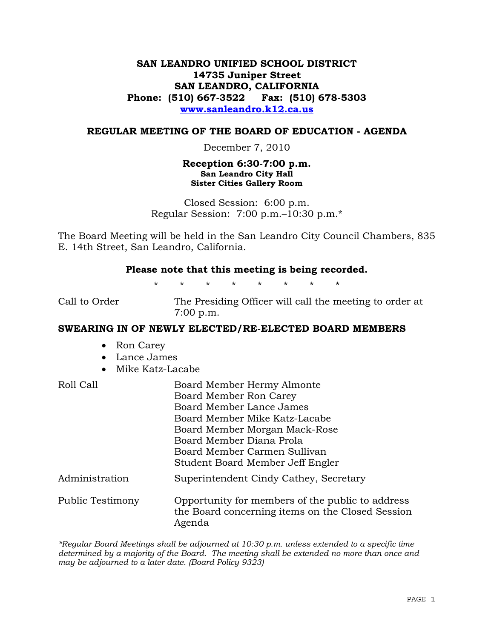# **SAN LEANDRO UNIFIED SCHOOL DISTRICT 14735 Juniper Street SAN LEANDRO, CALIFORNIA Phone: (510) 667-3522 Fax: (510) 678-5303 www.sanleandro.k12.ca.us**

### **REGULAR MEETING OF THE BOARD OF EDUCATION - AGENDA**

December 7, 2010

#### **Reception 6:30-7:00 p.m. San Leandro City Hall Sister Cities Gallery Room**

Closed Session: 6:00 p.m. Regular Session: 7:00 p.m.–10:30 p.m.\*

The Board Meeting will be held in the San Leandro City Council Chambers, 835 E. 14th Street, San Leandro, California.

## **Please note that this meeting is being recorded.**

\* \* \* \* \* \* \* \*

Call to Order The Presiding Officer will call the meeting to order at 7:00 p.m.

### **SWEARING IN OF NEWLY ELECTED/RE-ELECTED BOARD MEMBERS**

- Ron Carey
- Lance James
- Mike Katz-Lacabe

| Roll Call        | Board Member Hermy Almonte                                                                                     |
|------------------|----------------------------------------------------------------------------------------------------------------|
|                  | Board Member Ron Carey                                                                                         |
|                  | Board Member Lance James                                                                                       |
|                  | Board Member Mike Katz-Lacabe                                                                                  |
|                  | Board Member Morgan Mack-Rose                                                                                  |
|                  | Board Member Diana Prola                                                                                       |
|                  | Board Member Carmen Sullivan                                                                                   |
|                  | Student Board Member Jeff Engler                                                                               |
| Administration   | Superintendent Cindy Cathey, Secretary                                                                         |
| Public Testimony | Opportunity for members of the public to address<br>the Board concerning items on the Closed Session<br>Agenda |

*\*Regular Board Meetings shall be adjourned at 10:30 p.m. unless extended to a specific time determined by a majority of the Board. The meeting shall be extended no more than once and may be adjourned to a later date. (Board Policy 9323)*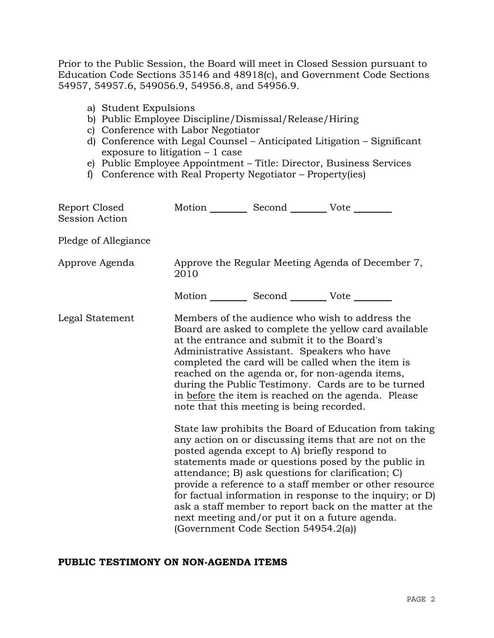Prior to the Public Session, the Board will meet in Closed Session pursuant to Education Code Sections 35146 and 48918(c), and Government Code Sections 54957, 54957.6, 549056.9, 54956.8, and 54956.9.

- a) Student Expulsions
- b) Public Employee Discipline/Dismissal/Release/Hiring
- c) Conference with Labor Negotiator
- d) Conference with Legal Counsel Anticipated Litigation Significant exposure to litigation – 1 case
- e) Public Employee Appointment Title: Director, Business Services
- f) Conference with Real Property Negotiator Property(ies)

| Report Closed<br><b>Session Action</b> | Motion __________ Second __________ Vote ________                                                                                                                                                                                                                                                                                                                                                                                                                                                                                                         |
|----------------------------------------|-----------------------------------------------------------------------------------------------------------------------------------------------------------------------------------------------------------------------------------------------------------------------------------------------------------------------------------------------------------------------------------------------------------------------------------------------------------------------------------------------------------------------------------------------------------|
| Pledge of Allegiance                   |                                                                                                                                                                                                                                                                                                                                                                                                                                                                                                                                                           |
| Approve Agenda                         | Approve the Regular Meeting Agenda of December 7,<br>2010                                                                                                                                                                                                                                                                                                                                                                                                                                                                                                 |
|                                        | Motion ___________ Second ____________ Vote _________                                                                                                                                                                                                                                                                                                                                                                                                                                                                                                     |
| Legal Statement                        | Members of the audience who wish to address the<br>Board are asked to complete the yellow card available<br>at the entrance and submit it to the Board's<br>Administrative Assistant. Speakers who have<br>completed the card will be called when the item is<br>reached on the agenda or, for non-agenda items,<br>during the Public Testimony. Cards are to be turned<br>in before the item is reached on the agenda. Please<br>note that this meeting is being recorded.                                                                               |
|                                        | State law prohibits the Board of Education from taking<br>any action on or discussing items that are not on the<br>posted agenda except to A) briefly respond to<br>statements made or questions posed by the public in<br>attendance; B) ask questions for clarification; C)<br>provide a reference to a staff member or other resource<br>for factual information in response to the inquiry; or D)<br>ask a staff member to report back on the matter at the<br>next meeting and/or put it on a future agenda.<br>(Government Code Section 54954.2(a)) |

### **PUBLIC TESTIMONY ON NON-AGENDA ITEMS**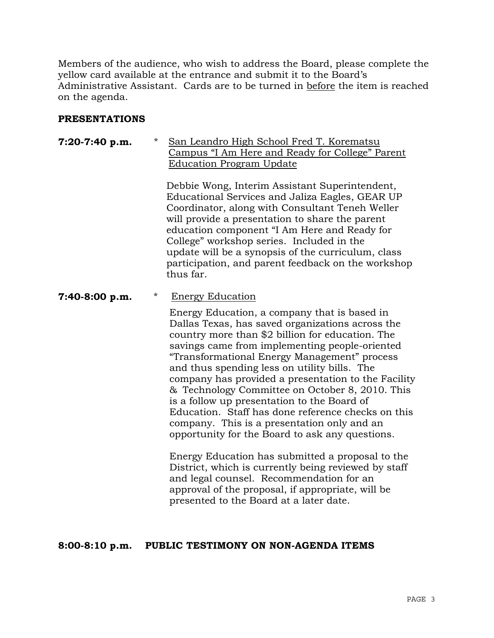Members of the audience, who wish to address the Board, please complete the yellow card available at the entrance and submit it to the Board's Administrative Assistant. Cards are to be turned in before the item is reached on the agenda.

# **PRESENTATIONS**

| $7:20-7:40$ p.m. | * San Leandro High School Fred T. Korematsu                                 |
|------------------|-----------------------------------------------------------------------------|
|                  | Campus "I Am Here and Ready for College" Parent<br>Education Program Update |

 Debbie Wong, Interim Assistant Superintendent, Educational Services and Jaliza Eagles, GEAR UP Coordinator, along with Consultant Teneh Weller will provide a presentation to share the parent education component "I Am Here and Ready for College" workshop series. Included in the update will be a synopsis of the curriculum, class participation, and parent feedback on the workshop thus far.

## **7:40-8:00 p.m.** \* Energy Education

 Energy Education, a company that is based in Dallas Texas, has saved organizations across the country more than \$2 billion for education. The savings came from implementing people-oriented "Transformational Energy Management" process and thus spending less on utility bills. The company has provided a presentation to the Facility & Technology Committee on October 8, 2010. This is a follow up presentation to the Board of Education. Staff has done reference checks on this company. This is a presentation only and an opportunity for the Board to ask any questions.

 Energy Education has submitted a proposal to the District, which is currently being reviewed by staff and legal counsel. Recommendation for an approval of the proposal, if appropriate, will be presented to the Board at a later date.

## **8:00-8:10 p.m. PUBLIC TESTIMONY ON NON-AGENDA ITEMS**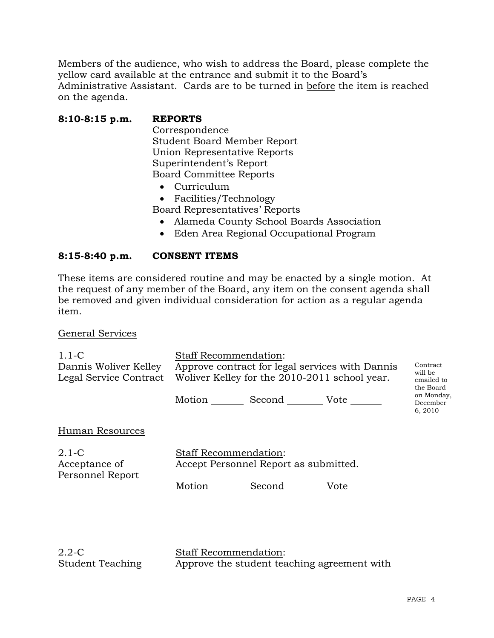Members of the audience, who wish to address the Board, please complete the yellow card available at the entrance and submit it to the Board's Administrative Assistant. Cards are to be turned in before the item is reached on the agenda.

# **8:10-8:15 p.m. REPORTS**

 Correspondence Student Board Member Report Union Representative Reports Superintendent's Report Board Committee Reports

- Curriculum
- Facilities/Technology

Board Representatives' Reports

- Alameda County School Boards Association
- Eden Area Regional Occupational Program

# **8:15-8:40 p.m. CONSENT ITEMS**

These items are considered routine and may be enacted by a single motion. At the request of any member of the Board, any item on the consent agenda shall be removed and given individual consideration for action as a regular agenda item.

## General Services

| $1.1 - C$<br>Dannis Woliver Kelley<br>Legal Service Contract | <b>Staff Recommendation:</b><br>Approve contract for legal services with Dannis<br>Woliver Kelley for the 2010-2011 school year. |                                                      |  | Contract<br>will be<br>emailed to<br>the Board |
|--------------------------------------------------------------|----------------------------------------------------------------------------------------------------------------------------------|------------------------------------------------------|--|------------------------------------------------|
|                                                              | Motion $\_\_$                                                                                                                    | Second Vote                                          |  | on Monday,<br>December<br>6, 2010              |
| Human Resources                                              |                                                                                                                                  |                                                      |  |                                                |
| $2.1 - C$<br>Acceptance of<br>Personnel Report               | <b>Staff Recommendation:</b><br>Motion                                                                                           | Accept Personnel Report as submitted.<br>Second Vote |  |                                                |

Staff Recommendation: Approve the student teaching agreement with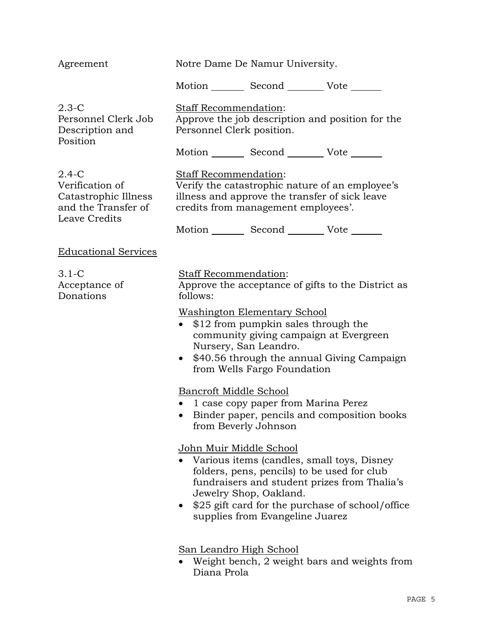| Agreement                                                                                  | Notre Dame De Namur University.                                                                                                                                                                                                                                                       |                                                                                       |                                                    |  |
|--------------------------------------------------------------------------------------------|---------------------------------------------------------------------------------------------------------------------------------------------------------------------------------------------------------------------------------------------------------------------------------------|---------------------------------------------------------------------------------------|----------------------------------------------------|--|
|                                                                                            |                                                                                                                                                                                                                                                                                       | Motion _________ Second __________ Vote _______                                       |                                                    |  |
| $2.3-C$<br>Personnel Clerk Job<br>Description and<br>Position                              | Staff Recommendation:<br>Approve the job description and position for the<br>Personnel Clerk position.                                                                                                                                                                                |                                                                                       |                                                    |  |
|                                                                                            |                                                                                                                                                                                                                                                                                       | Motion _________ Second __________ Vote _______                                       |                                                    |  |
| $2.4-C$<br>Verification of<br>Catastrophic Illness<br>and the Transfer of<br>Leave Credits | Staff Recommendation:                                                                                                                                                                                                                                                                 | illness and approve the transfer of sick leave<br>credits from management employees'. | Verify the catastrophic nature of an employee's    |  |
|                                                                                            |                                                                                                                                                                                                                                                                                       | Motion _________ Second _________ Vote _______                                        |                                                    |  |
| <b>Educational Services</b>                                                                |                                                                                                                                                                                                                                                                                       |                                                                                       |                                                    |  |
| $3.1-C$<br>Acceptance of<br>Donations                                                      | Staff Recommendation:<br>follows:                                                                                                                                                                                                                                                     |                                                                                       | Approve the acceptance of gifts to the District as |  |
|                                                                                            | <b>Washington Elementary School</b><br>\$12 from pumpkin sales through the<br>$\bullet$<br>community giving campaign at Evergreen<br>Nursery, San Leandro.<br>• \$40.56 through the annual Giving Campaign<br>from Wells Fargo Foundation                                             |                                                                                       |                                                    |  |
|                                                                                            | Bancroft Middle School                                                                                                                                                                                                                                                                | 1 case copy paper from Marina Perez<br>from Beverly Johnson                           | Binder paper, pencils and composition books        |  |
|                                                                                            | John Muir Middle School<br>Various items (candles, small toys, Disney<br>folders, pens, pencils) to be used for club<br>fundraisers and student prizes from Thalia's<br>Jewelry Shop, Oakland.<br>\$25 gift card for the purchase of school/office<br>supplies from Evangeline Juarez |                                                                                       |                                                    |  |
|                                                                                            | <u>San Leandro High School</u><br>Diana Prola                                                                                                                                                                                                                                         |                                                                                       | Weight bench, 2 weight bars and weights from       |  |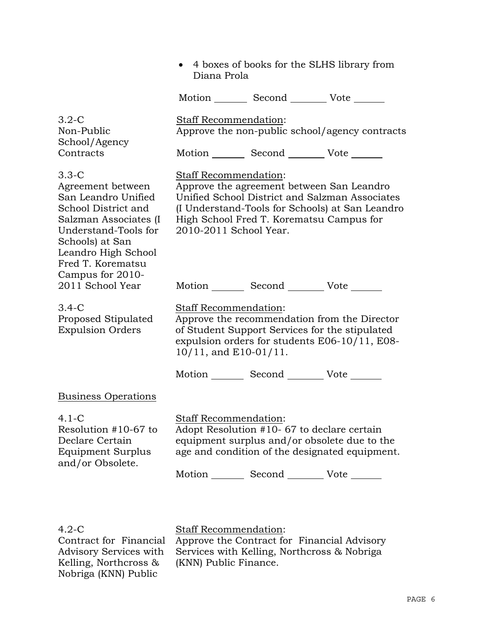4 boxes of books for the SLHS library from Diana Prola

|                                                                                                                                                                                                                  | Motion Second Vote                                                                                                                                                                                                                                   |  |  |
|------------------------------------------------------------------------------------------------------------------------------------------------------------------------------------------------------------------|------------------------------------------------------------------------------------------------------------------------------------------------------------------------------------------------------------------------------------------------------|--|--|
| $3.2-C$<br>Non-Public<br>School/Agency                                                                                                                                                                           | <b>Staff Recommendation:</b><br>Approve the non-public school/agency contracts                                                                                                                                                                       |  |  |
| Contracts                                                                                                                                                                                                        | Motion _________ Second _________ Vote _______                                                                                                                                                                                                       |  |  |
| $3.3 - C$<br>Agreement between<br>San Leandro Unified<br>School District and<br>Salzman Associates (I<br>Understand-Tools for<br>Schools) at San<br>Leandro High School<br>Fred T. Korematsu<br>Campus for 2010- | <b>Staff Recommendation:</b><br>Approve the agreement between San Leandro<br>Unified School District and Salzman Associates<br>(I Understand-Tools for Schools) at San Leandro<br>High School Fred T. Korematsu Campus for<br>2010-2011 School Year. |  |  |
| 2011 School Year                                                                                                                                                                                                 | Motion _________ Second _________ Vote _______                                                                                                                                                                                                       |  |  |
| 3.4-C<br>Proposed Stipulated<br><b>Expulsion Orders</b>                                                                                                                                                          | Staff Recommendation:<br>Approve the recommendation from the Director<br>of Student Support Services for the stipulated<br>expulsion orders for students E06-10/11, E08-<br>$10/11$ , and E10-01/11.                                                 |  |  |
|                                                                                                                                                                                                                  | Motion _________ Second __________ Vote _______                                                                                                                                                                                                      |  |  |
| <b>Business Operations</b>                                                                                                                                                                                       |                                                                                                                                                                                                                                                      |  |  |
| 4.1-C<br>Resolution #10-67 to<br>Declare Certain<br><b>Equipment Surplus</b><br>and/or Obsolete.                                                                                                                 | Staff Recommendation:<br>Adopt Resolution #10- 67 to declare certain<br>equipment surplus and/or obsolete due to the<br>age and condition of the designated equipment.<br>Motion Second Vote                                                         |  |  |
|                                                                                                                                                                                                                  |                                                                                                                                                                                                                                                      |  |  |

4.2-C

Contract for Financial Advisory Services with Kelling, Northcross & Nobriga (KNN) Public

Staff Recommendation: Approve the Contract for Financial Advisory Services with Kelling, Northcross & Nobriga (KNN) Public Finance.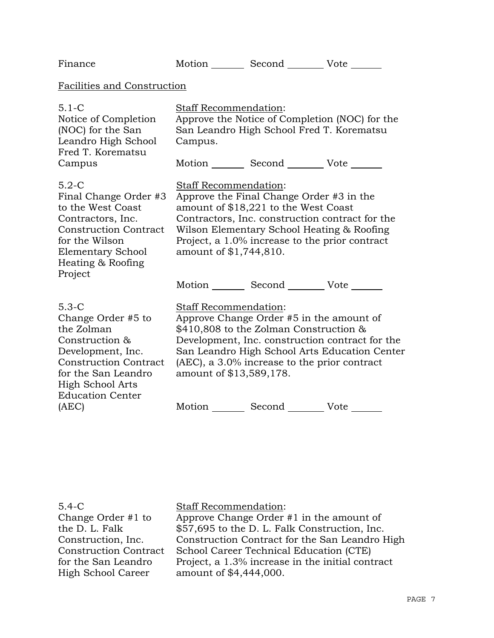| Finance                                                                                                                                                                                  |                                                                                                                                                                                                                                                                                                                  | Motion _________ Second _________ Vote _______                                                                                                                                                                                      |  |  |
|------------------------------------------------------------------------------------------------------------------------------------------------------------------------------------------|------------------------------------------------------------------------------------------------------------------------------------------------------------------------------------------------------------------------------------------------------------------------------------------------------------------|-------------------------------------------------------------------------------------------------------------------------------------------------------------------------------------------------------------------------------------|--|--|
| Facilities and Construction                                                                                                                                                              |                                                                                                                                                                                                                                                                                                                  |                                                                                                                                                                                                                                     |  |  |
| $5.1 - C$<br>Notice of Completion<br>(NOC) for the San<br>Leandro High School<br>Fred T. Korematsu                                                                                       | Staff Recommendation:<br>Campus.                                                                                                                                                                                                                                                                                 | Approve the Notice of Completion (NOC) for the<br>San Leandro High School Fred T. Korematsu                                                                                                                                         |  |  |
| Campus                                                                                                                                                                                   |                                                                                                                                                                                                                                                                                                                  | Motion Second Vote                                                                                                                                                                                                                  |  |  |
| $5.2-C$<br>Final Change Order #3<br>to the West Coast<br>Contractors, Inc.<br><b>Construction Contract</b><br>for the Wilson<br><b>Elementary School</b><br>Heating & Roofing<br>Project | Staff Recommendation:<br>amount of \$1,744,810.                                                                                                                                                                                                                                                                  | Approve the Final Change Order #3 in the<br>amount of \$18,221 to the West Coast<br>Contractors, Inc. construction contract for the<br>Wilson Elementary School Heating & Roofing<br>Project, a 1.0% increase to the prior contract |  |  |
|                                                                                                                                                                                          |                                                                                                                                                                                                                                                                                                                  | Motion _________ Second __________ Vote _______                                                                                                                                                                                     |  |  |
| $5.3-C$<br>Change Order #5 to<br>the Zolman<br>Construction &<br>Development, Inc.<br><b>Construction Contract</b><br>for the San Leandro<br>High School Arts<br><b>Education Center</b> | Staff Recommendation:<br>Approve Change Order #5 in the amount of<br>\$410,808 to the Zolman Construction &<br>Development, Inc. construction contract for the<br>San Leandro High School Arts Education Center<br>(AEC), a 3.0% increase to the prior contract<br>amount of \$13,589,178.<br>Motion Second Vote |                                                                                                                                                                                                                                     |  |  |
| (AEC)                                                                                                                                                                                    |                                                                                                                                                                                                                                                                                                                  |                                                                                                                                                                                                                                     |  |  |

| $5.4-C$                      | <b>Staff Recommendation:</b>                     |
|------------------------------|--------------------------------------------------|
| Change Order #1 to           | Approve Change Order #1 in the amount of         |
| the D. L. Falk               | \$57,695 to the D. L. Falk Construction, Inc.    |
| Construction, Inc.           | Construction Contract for the San Leandro High   |
| <b>Construction Contract</b> | School Career Technical Education (CTE)          |
| for the San Leandro          | Project, a 1.3% increase in the initial contract |
| High School Career           | amount of \$4,444,000.                           |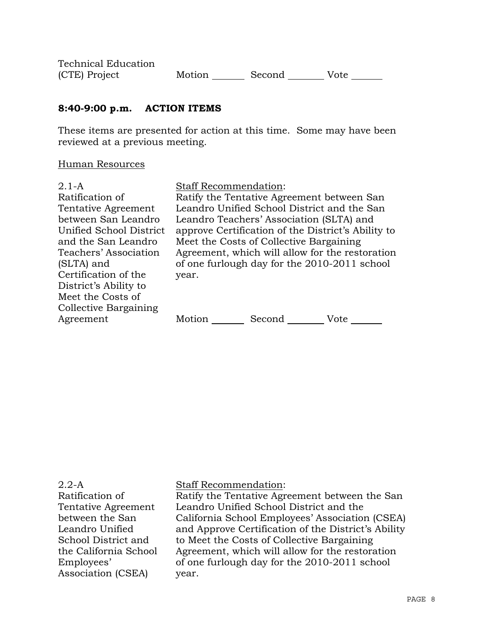| <b>Technical Education</b> |        |        |      |
|----------------------------|--------|--------|------|
| (CTE) Project              | Motion | Second | Vote |

# **8:40-9:00 p.m. ACTION ITEMS**

These items are presented for action at this time. Some may have been reviewed at a previous meeting.

### Human Resources

| $2.1-A$                 | <b>Staff Recommendation:</b> |                                                    |      |
|-------------------------|------------------------------|----------------------------------------------------|------|
| Ratification of         |                              | Ratify the Tentative Agreement between San         |      |
| Tentative Agreement     |                              | Leandro Unified School District and the San        |      |
| between San Leandro     |                              | Leandro Teachers' Association (SLTA) and           |      |
| Unified School District |                              | approve Certification of the District's Ability to |      |
| and the San Leandro     |                              | Meet the Costs of Collective Bargaining            |      |
| Teachers' Association   |                              | Agreement, which will allow for the restoration    |      |
| (SLTA) and              |                              | of one furlough day for the 2010-2011 school       |      |
| Certification of the    | year.                        |                                                    |      |
| District's Ability to   |                              |                                                    |      |
| Meet the Costs of       |                              |                                                    |      |
| Collective Bargaining   |                              |                                                    |      |
| Agreement               | Motion                       | Second                                             | Vote |

| $2.2-A$               | <b>Staff Recommendation:</b>                        |
|-----------------------|-----------------------------------------------------|
| Ratification of       | Ratify the Tentative Agreement between the San      |
| Tentative Agreement   | Leandro Unified School District and the             |
| between the San       | California School Employees' Association (CSEA)     |
| Leandro Unified       | and Approve Certification of the District's Ability |
| School District and   | to Meet the Costs of Collective Bargaining          |
| the California School | Agreement, which will allow for the restoration     |
| Employees'            | of one furlough day for the 2010-2011 school        |
| Association (CSEA)    | vear.                                               |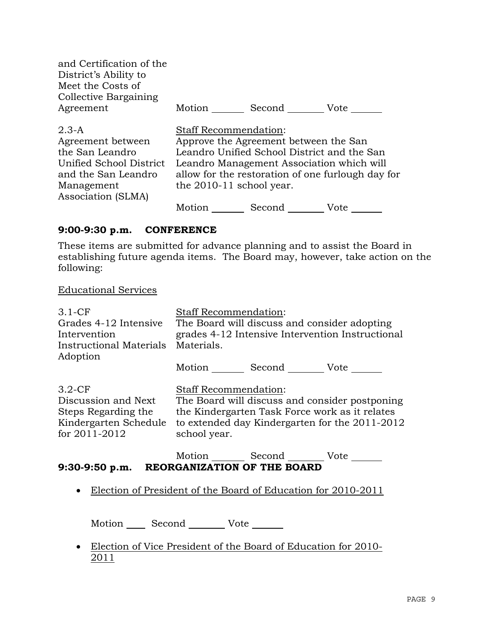| and Certification of the<br>District's Ability to<br>Meet the Costs of<br>Collective Bargaining                                         |                                                                                                                                                                                                                                                                                |
|-----------------------------------------------------------------------------------------------------------------------------------------|--------------------------------------------------------------------------------------------------------------------------------------------------------------------------------------------------------------------------------------------------------------------------------|
| Agreement                                                                                                                               | Motion<br>Second<br>Vote                                                                                                                                                                                                                                                       |
| $2.3 - A$<br>Agreement between<br>the San Leandro<br>Unified School District<br>and the San Leandro<br>Management<br>Association (SLMA) | <b>Staff Recommendation:</b><br>Approve the Agreement between the San<br>Leandro Unified School District and the San<br>Leandro Management Association which will<br>allow for the restoration of one furlough day for<br>the 2010-11 school year.<br>Motion<br>Second<br>Vote |

# **9:00-9:30 p.m. CONFERENCE**

These items are submitted for advance planning and to assist the Board in establishing future agenda items. The Board may, however, take action on the following:

# Educational Services

| $3.1-CF$                                   | <b>Staff Recommendation:</b>                                    |
|--------------------------------------------|-----------------------------------------------------------------|
| Grades 4-12 Intensive                      | The Board will discuss and consider adopting                    |
| Intervention                               | grades 4-12 Intensive Intervention Instructional                |
| Instructional Materials                    | Materials.                                                      |
| Adoption                                   |                                                                 |
|                                            | Motion _________ Second _________ Vote _______                  |
|                                            |                                                                 |
| $3.2-CF$                                   | <b>Staff Recommendation:</b>                                    |
| Discussion and Next                        | The Board will discuss and consider postponing                  |
| Steps Regarding the                        | the Kindergarten Task Force work as it relates                  |
| Kindergarten Schedule                      | to extended day Kindergarten for the 2011-2012                  |
| for 2011-2012                              | school year.                                                    |
|                                            |                                                                 |
|                                            | Motion _________ Second __________ Vote _______                 |
| 9:30-9:50 p.m. REORGANIZATION OF THE BOARD |                                                                 |
|                                            |                                                                 |
|                                            | • Election of President of the Board of Education for 2010-2011 |

Motion Second Vote

 Election of Vice President of the Board of Education for 2010- 2011